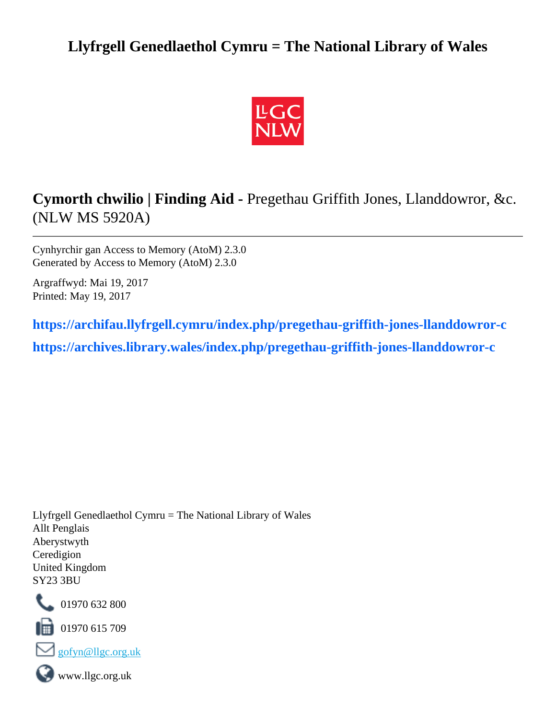## **Llyfrgell Genedlaethol Cymru = The National Library of Wales**



# **Cymorth chwilio | Finding Aid -** Pregethau Griffith Jones, Llanddowror, &c. (NLW MS 5920A)

Cynhyrchir gan Access to Memory (AtoM) 2.3.0 Generated by Access to Memory (AtoM) 2.3.0

Argraffwyd: Mai 19, 2017 Printed: May 19, 2017

**[https://archifau.llyfrgell.cymru/index.php/pregethau-griffith-jones-llanddowror-c](https://archifau.llyfrgell.cymru/index.php/pregethau-griffith-jones-llanddowror-c;isad?sf_culture=cy) [https://archives.library.wales/index.php/pregethau-griffith-jones-llanddowror-c](https://archives.library.wales/index.php/pregethau-griffith-jones-llanddowror-c;isad?sf_culture=en)**

Llyfrgell Genedlaethol Cymru = The National Library of Wales Allt Penglais Aberystwyth Ceredigion United Kingdom SY23 3BU



01970 632 800

01970 615 709





www.llgc.org.uk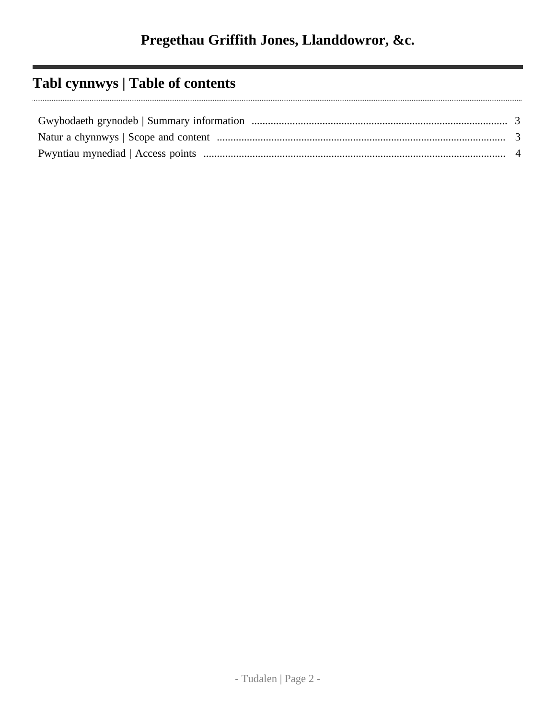# **Tabl cynnwys | Table of contents**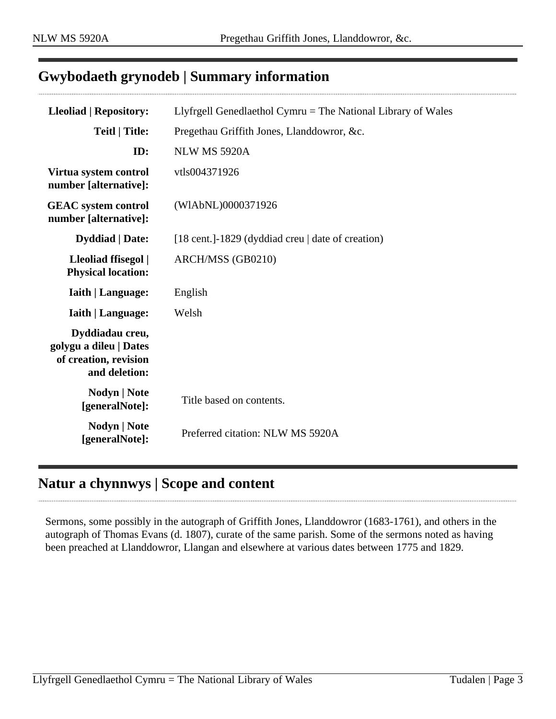## <span id="page-2-0"></span>**Gwybodaeth grynodeb | Summary information**

| <b>Lleoliad   Repository:</b>                                                       | Llyfrgell Genedlaethol Cymru $=$ The National Library of Wales |
|-------------------------------------------------------------------------------------|----------------------------------------------------------------|
| <b>Teitl   Title:</b>                                                               | Pregethau Griffith Jones, Llanddowror, &c.                     |
| ID:                                                                                 | NLW MS 5920A                                                   |
| Virtua system control<br>number [alternative]:                                      | vtls004371926                                                  |
| <b>GEAC</b> system control<br>number [alternative]:                                 | (WIAbNL)0000371926                                             |
| <b>Dyddiad</b>   Date:                                                              | [18 cent.]-1829 (dyddiad creu   date of creation)              |
| Lleoliad ffisegol  <br><b>Physical location:</b>                                    | ARCH/MSS (GB0210)                                              |
| <b>Iaith   Language:</b>                                                            | English                                                        |
| <b>Iaith   Language:</b>                                                            | Welsh                                                          |
| Dyddiadau creu,<br>golygu a dileu   Dates<br>of creation, revision<br>and deletion: |                                                                |
| Nodyn   Note<br>[generalNote]:                                                      | Title based on contents.                                       |
| Nodyn   Note<br>[generalNote]:                                                      | Preferred citation: NLW MS 5920A                               |

## <span id="page-2-1"></span>**Natur a chynnwys | Scope and content**

Sermons, some possibly in the autograph of Griffith Jones, Llanddowror (1683-1761), and others in the autograph of Thomas Evans (d. 1807), curate of the same parish. Some of the sermons noted as having been preached at Llanddowror, Llangan and elsewhere at various dates between 1775 and 1829.